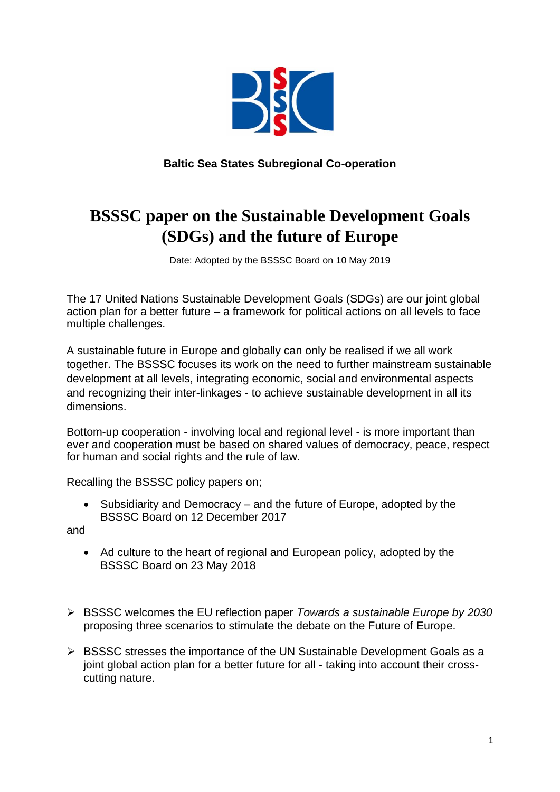

**Baltic Sea States Subregional Co-operation**

## **BSSSC paper on the Sustainable Development Goals (SDGs) and the future of Europe**

Date: Adopted by the BSSSC Board on 10 May 2019

The 17 United Nations Sustainable Development Goals (SDGs) are our joint global action plan for a better future – a framework for political actions on all levels to face multiple challenges.

A sustainable future in Europe and globally can only be realised if we all work together. The BSSSC focuses its work on the need to further mainstream sustainable development at all levels, integrating economic, social and environmental aspects and recognizing their inter-linkages - to achieve sustainable development in all its dimensions.

Bottom-up cooperation - involving local and regional level - is more important than ever and cooperation must be based on shared values of democracy, peace, respect for human and social rights and the rule of law.

Recalling the BSSSC policy papers on;

 Subsidiarity and Democracy – and the future of Europe, adopted by the BSSSC Board on 12 December 2017

and

- Ad culture to the heart of regional and European policy, adopted by the BSSSC Board on 23 May 2018
- BSSSC welcomes the EU reflection paper *Towards a sustainable Europe by 2030* proposing three scenarios to stimulate the debate on the Future of Europe.
- $\triangleright$  BSSSC stresses the importance of the UN Sustainable Development Goals as a joint global action plan for a better future for all - taking into account their crosscutting nature.